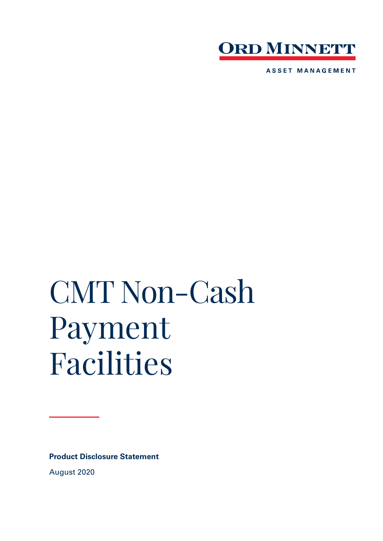

**ASSET MANAGEMENT** 

# CMT Non-Cash Payment Facilities

**Product Disclosure Statement**

August 2020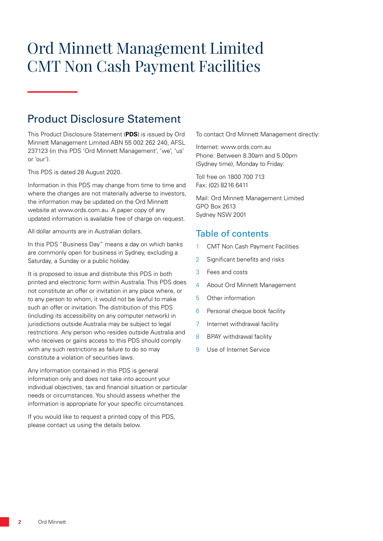# Ord Minnett Management Limited CMT Non Cash Payment Facilities

# Product Disclosure Statement

This Product Disclosure Statement (**PDS**) is issued by Ord Minnett Management Limited ABN 55 002 262 240, AFSL 237123 (in this PDS 'Ord Minnett Management', 'we', 'us' or 'our').

This PDS is dated 28 August 2020.

Information in this PDS may change from time to time and where the changes are not materially adverse to investors, the information may be updated on the Ord Minnett website at www.ords.com.au. A paper copy of any updated information is available free of charge on request.

All dollar amounts are in Australian dollars.

In this PDS "Business Day" means a day on which banks are commonly open for business in Sydney, excluding a Saturday, a Sunday or a public holiday.

It is proposed to issue and distribute this PDS in both printed and electronic form within Australia. This PDS does not constitute an offer or invitation in any place where, or to any person to whom, it would not be lawful to make such an offer or invitation. The distribution of this PDS (including its accessibility on any computer network) in jurisdictions outside Australia may be subject to legal restrictions. Any person who resides outside Australia and who receives or gains access to this PDS should comply with any such restrictions as failure to do so may constitute a violation of securities laws.

Any information contained in this PDS is general information only and does not take into account your individual objectives, tax and financial situation or particular needs or circumstances. You should assess whether the information is appropriate for your specific circumstances.

If you would like to request a printed copy of this PDS, please contact us using the details below.

To contact Ord Minnett Management directly:

Internet: www.ords.com.au Phone: Between 8.30am and 5.00pm (Sydney time), Monday to Friday:

Toll free on 1800 700 713 Fax: (02) 8216 6411

Mail: Ord Minnett Management Limited GPO Box 2613 Sydney NSW 2001

### Table of contents

- 1 CMT Non Cash Payment Facilities
- 2 Significant benefits and risks
- 3 Fees and costs
- 4 About Ord Minnett Management
- 5 Other information
- 6 Personal cheque book facility
- 7 Internet withdrawal facility
- 8 BPAY withdrawal facility
- 9 Use of Internet Service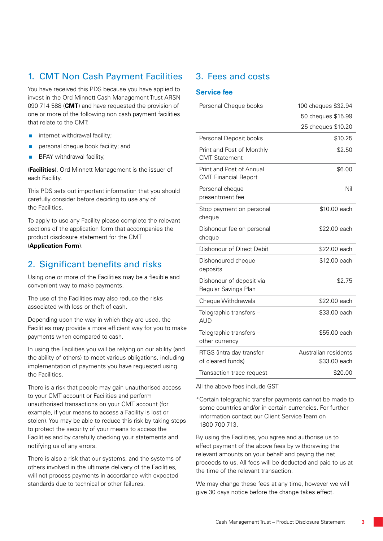# 1. CMT Non Cash Payment Facilities

You have received this PDS because you have applied to invest in the Ord Minnett Cash Management Trust ARSN 090 714 588 (**CMT**) and have requested the provision of one or more of the following non cash payment facilities that relate to the CMT:

- $\blacksquare$  internet withdrawal facility;
- **personal cheque book facility; and**
- **BPAY** withdrawal facility,

(**Facilities**). Ord Minnett Management is the issuer of each Facility.

This PDS sets out important information that you should carefully consider before deciding to use any of the Facilities.

To apply to use any Facility please complete the relevant sections of the application form that accompanies the product disclosure statement for the CMT (**Application Form**).

## 2. Significant benefits and risks

Using one or more of the Facilities may be a flexible and convenient way to make payments.

The use of the Facilities may also reduce the risks associated with loss or theft of cash.

Depending upon the way in which they are used, the Facilities may provide a more efficient way for you to make payments when compared to cash.

In using the Facilities you will be relying on our ability (and the ability of others) to meet various obligations, including implementation of payments you have requested using the Facilities.

There is a risk that people may gain unauthorised access to your CMT account or Facilities and perform unauthorised transactions on your CMT account (for example, if your means to access a Facility is lost or stolen). You may be able to reduce this risk by taking steps to protect the security of your means to access the Facilities and by carefully checking your statements and notifying us of any errors.

There is also a risk that our systems, and the systems of others involved in the ultimate delivery of the Facilities, will not process payments in accordance with expected standards due to technical or other failures.

## 3. Fees and costs

#### **Service fee**

| Personal Cheque books                                   | 100 cheques \$32.94                  |
|---------------------------------------------------------|--------------------------------------|
|                                                         | 50 cheques \$15.99                   |
|                                                         | 25 cheques \$10.20                   |
| Personal Deposit books                                  | \$10.25                              |
| Print and Post of Monthly<br><b>CMT Statement</b>       | \$2.50                               |
| Print and Post of Annual<br><b>CMT Financial Report</b> | \$6.00                               |
| Personal cheque<br>presentment fee                      | Nil                                  |
| Stop payment on personal<br>cheque                      | \$10.00 each                         |
| Dishonour fee on personal<br>cheque                     | \$22.00 each                         |
| Dishonour of Direct Debit                               | \$22.00 each                         |
| Dishonoured cheque<br>deposits                          | \$12.00 each                         |
| Dishonour of deposit via<br>Regular Savings Plan        | \$2.75                               |
| Cheque Withdrawals                                      | \$22.00 each                         |
| Telegraphic transfers -<br><b>AUD</b>                   | \$33.00 each                         |
| Telegraphic transfers -<br>other currency               | \$55.00 each                         |
| RTGS (intra day transfer<br>of cleared funds)           | Australian residents<br>\$33.00 each |
| Transaction trace request                               | \$20.00                              |

All the above fees include GST

\*Certain telegraphic transfer payments cannot be made to some countries and/or in certain currencies. For further information contact our Client Service Team on 1800 700 713.

By using the Facilities, you agree and authorise us to effect payment of the above fees by withdrawing the relevant amounts on your behalf and paying the net proceeds to us. All fees will be deducted and paid to us at the time of the relevant transaction.

We may change these fees at any time, however we will give 30 days notice before the change takes effect.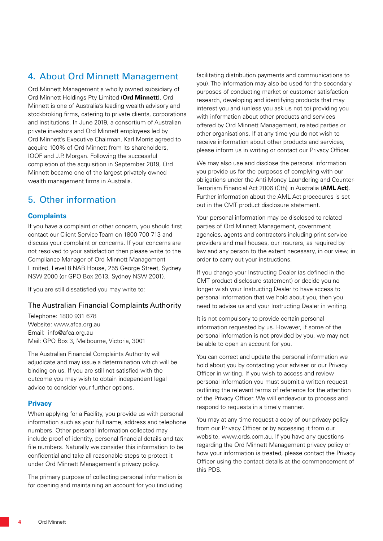# 4. About Ord Minnett Management

Ord Minnett Management a wholly owned subsidiary of Ord Minnett Holdings Pty Limited (**Ord Minnett**). Ord Minnett is one of Australia's leading wealth advisory and stockbroking firms, catering to private clients, corporations and institutions. In June 2019, a consortium of Australian private investors and Ord Minnett employees led by Ord Minnett's Executive Chairman, Karl Morris agreed to acquire 100% of Ord Minnett from its shareholders, IOOF and J.P. Morgan. Following the successful completion of the acquisition in September 2019, Ord Minnett became one of the largest privately owned wealth management firms in Australia.

# 5. Other information

#### **Complaints**

If you have a complaint or other concern, you should first contact our Client Service Team on 1800 700 713 and discuss your complaint or concerns. If your concerns are not resolved to your satisfaction then please write to the Compliance Manager of Ord Minnett Management Limited, Level 8 NAB House, 255 George Street, Sydney NSW 2000 (or GPO Box 2613, Sydney NSW 2001).

If you are still dissatisfied you may write to:

#### The Australian Financial Complaints Authority

Telephone: 1800 931 678 Website: www.afca.org.au Email: info@afca.org.au Mail: GPO Box 3, Melbourne, Victoria, 3001

The Australian Financial Complaints Authority will adjudicate and may issue a determination which will be binding on us. If you are still not satisfied with the outcome you may wish to obtain independent legal advice to consider your further options.

#### **Privacy**

When applying for a Facility, you provide us with personal information such as your full name, address and telephone numbers. Other personal information collected may include proof of identity, personal financial details and tax file numbers. Naturally we consider this information to be confidential and take all reasonable steps to protect it under Ord Minnett Management's privacy policy.

The primary purpose of collecting personal information is for opening and maintaining an account for you (including facilitating distribution payments and communications to you). The information may also be used for the secondary purposes of conducting market or customer satisfaction research, developing and identifying products that may interest you and (unless you ask us not to) providing you with information about other products and services offered by Ord Minnett Management, related parties or other organisations. If at any time you do not wish to receive information about other products and services, please inform us in writing or contact our Privacy Officer.

We may also use and disclose the personal information you provide us for the purposes of complying with our obligations under the Anti-Money Laundering and Counter-Terrorism Financial Act 2006 (Cth) in Australia (**AML Act**). Further information about the AML Act procedures is set out in the CMT product disclosure statement.

Your personal information may be disclosed to related parties of Ord Minnett Management, government agencies, agents and contractors including print service providers and mail houses, our insurers, as required by law and any person to the extent necessary, in our view, in order to carry out your instructions.

If you change your Instructing Dealer (as defined in the CMT product disclosure statement) or decide you no longer wish your Instructing Dealer to have access to personal information that we hold about you, then you need to advise us and your Instructing Dealer in writing.

It is not compulsory to provide certain personal information requested by us. However, if some of the personal information is not provided by you, we may not be able to open an account for you.

You can correct and update the personal information we hold about you by contacting your adviser or our Privacy Officer in writing. If you wish to access and review personal information you must submit a written request outlining the relevant terms of reference for the attention of the Privacy Officer. We will endeavour to process and respond to requests in a timely manner.

You may at any time request a copy of our privacy policy from our Privacy Officer or by accessing it from our website, www.ords.com.au. If you have any questions regarding the Ord Minnett Management privacy policy or how your information is treated, please contact the Privacy Officer using the contact details at the commencement of this PDS.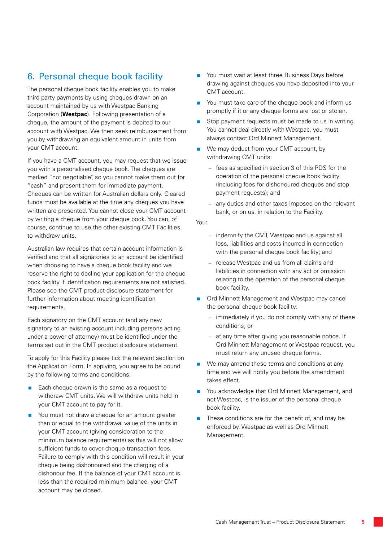# 6. Personal cheque book facility

The personal cheque book facility enables you to make third party payments by using cheques drawn on an account maintained by us with Westpac Banking Corporation (**Westpac**). Following presentation of a cheque, the amount of the payment is debited to our account with Westpac. We then seek reimbursement from you by withdrawing an equivalent amount in units from your CMT account.

If you have a CMT account, you may request that we issue you with a personalised cheque book. The cheques are marked "not negotiable", so you cannot make them out for "cash" and present them for immediate payment. Cheques can be written for Australian dollars only. Cleared funds must be available at the time any cheques you have written are presented. You cannot close your CMT account by writing a cheque from your cheque book. You can, of course, continue to use the other existing CMT Facilities to withdraw units.

Australian law requires that certain account information is verified and that all signatories to an account be identified when choosing to have a cheque book facility and we reserve the right to decline your application for the cheque book facility if identification requirements are not satisfied. Please see the CMT product disclosure statement for further information about meeting identification requirements.

Each signatory on the CMT account (and any new signatory to an existing account including persons acting under a power of attorney) must be identified under the terms set out in the CMT product disclosure statement.

To apply for this Facility please tick the relevant section on the Application Form. In applying, you agree to be bound by the following terms and conditions:

- $\blacksquare$  Each cheque drawn is the same as a request to withdraw CMT units. We will withdraw units held in your CMT account to pay for it.
- You must not draw a cheque for an amount greater than or equal to the withdrawal value of the units in your CMT account (giving consideration to the minimum balance requirements) as this will not allow sufficient funds to cover cheque transaction fees. Failure to comply with this condition will result in your cheque being dishonoured and the charging of a dishonour fee. If the balance of your CMT account is less than the required minimum balance, your CMT account may be closed.
- You must wait at least three Business Days before drawing against cheques you have deposited into your CMT account.
- You must take care of the cheque book and inform us promptly if it or any cheque forms are lost or stolen.
- Stop payment requests must be made to us in writing. You cannot deal directly with Westpac, you must always contact Ord Minnett Management.
- We may deduct from your CMT account, by withdrawing CMT units:
	- fees as specified in section 3 of this PDS for the operation of the personal cheque book facility (including fees for dishonoured cheques and stop payment requests); and
	- any duties and other taxes imposed on the relevant bank, or on us, in relation to the Facility.

#### You:

- indemnify the CMT, Westpac and us against all loss, liabilities and costs incurred in connection with the personal cheque book facility; and
- release Westpac and us from all claims and liabilities in connection with any act or omission relating to the operation of the personal cheque book facility.
- Ord Minnett Management and Westpac may cancel the personal cheque book facility:
	- immediately if you do not comply with any of these conditions; or
	- at any time after giving you reasonable notice. If Ord Minnett Management or Westpac request, you must return any unused cheque forms.
- We may amend these terms and conditions at any time and we will notify you before the amendment takes effect.
- You acknowledge that Ord Minnett Management, and not Westpac, is the issuer of the personal cheque book facility.
- These conditions are for the benefit of, and may be enforced by, Westpac as well as Ord Minnett Management.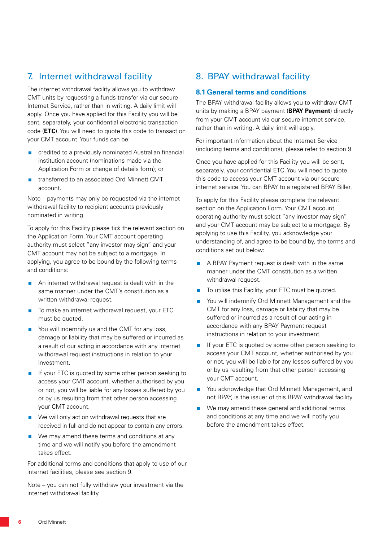# 7. Internet withdrawal facility

The internet withdrawal facility allows you to withdraw CMT units by requesting a funds transfer via our secure Internet Service, rather than in writing. A daily limit will apply. Once you have applied for this Facility you will be sent, separately, your confidential electronic transaction code (**ETC**). You will need to quote this code to transact on your CMT account. Your funds can be:

- **E** credited to a previously nominated Australian financial institution account (nominations made via the Application Form or change of details form); or
- transferred to an associated Ord Minnett CMT account.

Note – payments may only be requested via the internet withdrawal facility to recipient accounts previously nominated in writing.

To apply for this Facility please tick the relevant section on the Application Form. Your CMT account operating authority must select "any investor may sign" and your CMT account may not be subject to a mortgage. In applying, you agree to be bound by the following terms and conditions:

- **An internet withdrawal request is dealt with in the** same manner under the CMT's constitution as a written withdrawal request.
- To make an internet withdrawal request, your ETC must be quoted.
- $\blacksquare$  You will indemnify us and the CMT for any loss, damage or liability that may be suffered or incurred as a result of our acting in accordance with any internet withdrawal request instructions in relation to your investment.
- If your ETC is quoted by some other person seeking to access your CMT account, whether authorised by you or not, you will be liable for any losses suffered by you or by us resulting from that other person accessing your CMT account.
- We will only act on withdrawal requests that are received in full and do not appear to contain any errors.
- We may amend these terms and conditions at any time and we will notify you before the amendment takes effect.

For additional terms and conditions that apply to use of our internet facilities, please see section 9.

Note – you can not fully withdraw your investment via the internet withdrawal facility.

# 8. BPAY withdrawal facility

#### **8.1 General terms and conditions**

The BPAY withdrawal facility allows you to withdraw CMT units by making a BPAY payment (**BPAY Payment**) directly from your CMT account via our secure internet service, rather than in writing. A daily limit will apply.

For important information about the Internet Service (including terms and conditions), please refer to section 9.

Once you have applied for this Facility you will be sent, separately, your confidential ETC. You will need to quote this code to access your CMT account via our secure internet service. You can BPAY to a registered BPAY Biller.

To apply for this Facility please complete the relevant section on the Application Form. Your CMT account operating authority must select "any investor may sign" and your CMT account may be subject to a mortgage. By applying to use this Facility, you acknowledge your understanding of, and agree to be bound by, the terms and conditions set out below:

- A BPAY Payment request is dealt with in the same manner under the CMT constitution as a written withdrawal request.
- To utilise this Facility, your ETC must be quoted.
- You will indemnify Ord Minnett Management and the CMT for any loss, damage or liability that may be suffered or incurred as a result of our acting in accordance with any BPAY Payment request instructions in relation to your investment.
- If your ETC is quoted by some other person seeking to access your CMT account, whether authorised by you or not, you will be liable for any losses suffered by you or by us resulting from that other person accessing your CMT account.
- You acknowledge that Ord Minnett Management, and not BPAY, is the issuer of this BPAY withdrawal facility.
- We may amend these general and additional terms and conditions at any time and we will notify you before the amendment takes effect.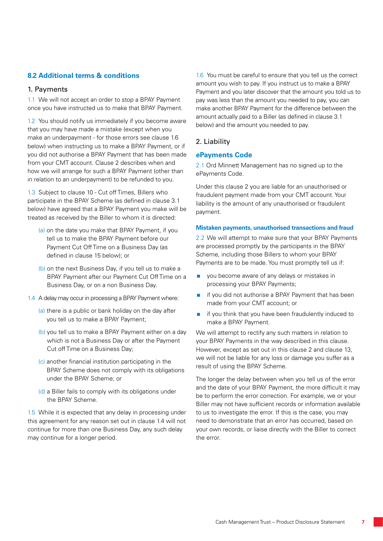#### **8.2 Additional terms & conditions**

#### 1. Payments

1.1 We will not accept an order to stop a BPAY Payment once you have instructed us to make that BPAY Payment.

1.2 You should notify us immediately if you become aware that you may have made a mistake (except when you make an underpayment - for those errors see clause 1.6 below) when instructing us to make a BPAY Payment, or if you did not authorise a BPAY Payment that has been made from your CMT account. Clause 2 describes when and how we will arrange for such a BPAY Payment (other than in relation to an underpayment) to be refunded to you.

1.3 Subject to clause 10 - Cut off Times, Billers who participate in the BPAY Scheme (as defined in clause 3.1 below) have agreed that a BPAY Payment you make will be treated as received by the Biller to whom it is directed:

- (a) on the date you make that BPAY Payment, if you tell us to make the BPAY Payment before our Payment Cut Off Time on a Business Day (as defined in clause 15 below); or
- (b) on the next Business Day, if you tell us to make a BPAY Payment after our Payment Cut Off Time on a Business Day, or on a non Business Day.
- 1.4 A delay may occur in processing a BPAY Payment where:
	- (a) there is a public or bank holiday on the day after you tell us to make a BPAY Payment;
	- (b) you tell us to make a BPAY Payment either on a day which is not a Business Day or after the Payment Cut off Time on a Business Day;
	- (c) another financial institution participating in the BPAY Scheme does not comply with its obligations under the BPAY Scheme; or
	- (d) a Biller fails to comply with its obligations under the BPAY Scheme.

1.5 While it is expected that any delay in processing under this agreement for any reason set out in clause 1.4 will not continue for more than one Business Day, any such delay may continue for a longer period.

1.6 You must be careful to ensure that you tell us the correct amount you wish to pay. If you instruct us to make a BPAY Payment and you later discover that the amount you told us to pay was less than the amount you needed to pay, you can make another BPAY Payment for the difference between the amount actually paid to a Biller (as defined in clause 3.1 below) and the amount you needed to pay.

#### 2. Liability

#### **ePayments Code**

2.1 Ord Minnett Management has no signed up to the ePayments Code.

Under this clause 2 you are liable for an unauthorised or fraudulent payment made from your CMT account. Your liability is the amount of any unauthorised or fraudulent payment.

#### **Mistaken payments, unauthorised transactions and fraud**

2.2 We will attempt to make sure that your BPAY Payments are processed promptly by the participants in the BPAY Scheme, including those Billers to whom your BPAY Payments are to be made. You must promptly tell us if:

- vou become aware of any delays or mistakes in processing your BPAY Payments;
- $\blacksquare$  if you did not authorise a BPAY Payment that has been made from your CMT account; or
- $\blacksquare$  if you think that you have been fraudulently induced to make a BPAY Payment.

We will attempt to rectify any such matters in relation to your BPAY Payments in the way described in this clause. However, except as set out in this clause 2 and clause 13, we will not be liable for any loss or damage you suffer as a result of using the BPAY Scheme.

The longer the delay between when you tell us of the error and the date of your BPAY Payment, the more difficult it may be to perform the error correction. For example, we or your Biller may not have sufficient records or information available to us to investigate the error. If this is the case, you may need to demonstrate that an error has occurred, based on your own records, or liaise directly with the Biller to correct the error.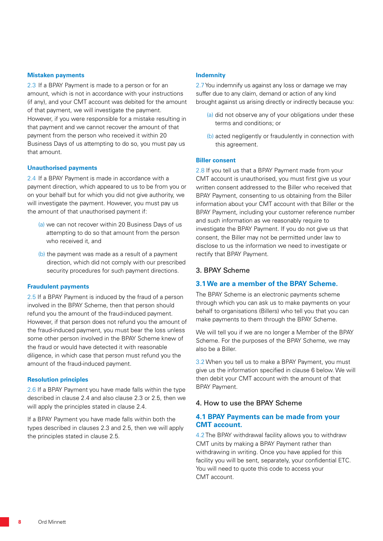#### **Mistaken payments**

2.3 If a BPAY Payment is made to a person or for an amount, which is not in accordance with your instructions (if any), and your CMT account was debited for the amount of that payment, we will investigate the payment. However, if you were responsible for a mistake resulting in that payment and we cannot recover the amount of that payment from the person who received it within 20 Business Days of us attempting to do so, you must pay us that amount.

#### **Unauthorised payments**

2.4 If a BPAY Payment is made in accordance with a payment direction, which appeared to us to be from you or on your behalf but for which you did not give authority, we will investigate the payment. However, you must pay us the amount of that unauthorised payment if:

- (a) we can not recover within 20 Business Days of us attempting to do so that amount from the person who received it, and
- (b) the payment was made as a result of a payment direction, which did not comply with our prescribed security procedures for such payment directions.

#### **Fraudulent payments**

2.5 If a BPAY Payment is induced by the fraud of a person involved in the BPAY Scheme, then that person should refund you the amount of the fraud-induced payment. However, if that person does not refund you the amount of the fraud-induced payment, you must bear the loss unless some other person involved in the BPAY Scheme knew of the fraud or would have detected it with reasonable diligence, in which case that person must refund you the amount of the fraud-induced payment.

#### **Resolution principles**

2.6 If a BPAY Payment you have made falls within the type described in clause 2.4 and also clause 2.3 or 2.5, then we will apply the principles stated in clause 2.4.

If a BPAY Payment you have made falls within both the types described in clauses 2.3 and 2.5, then we will apply the principles stated in clause 2.5.

#### **Indemnity**

2.7 You indemnify us against any loss or damage we may suffer due to any claim, demand or action of any kind brought against us arising directly or indirectly because you:

- (a) did not observe any of your obligations under these terms and conditions; or
- (b) acted negligently or fraudulently in connection with this agreement.

#### **Biller consent**

2.8 If you tell us that a BPAY Payment made from your CMT account is unauthorised, you must first give us your written consent addressed to the Biller who received that BPAY Payment, consenting to us obtaining from the Biller information about your CMT account with that Biller or the BPAY Payment, including your customer reference number and such information as we reasonably require to investigate the BPAY Payment. If you do not give us that consent, the Biller may not be permitted under law to disclose to us the information we need to investigate or rectify that BPAY Payment.

#### 3. BPAY Scheme

#### **3.1 We are a member of the BPAY Scheme.**

The BPAY Scheme is an electronic payments scheme through which you can ask us to make payments on your behalf to organisations (Billers) who tell you that you can make payments to them through the BPAY Scheme.

We will tell you if we are no longer a Member of the BPAY Scheme. For the purposes of the BPAY Scheme, we may also be a Biller.

3.2 When you tell us to make a BPAY Payment, you must give us the information specified in clause 6 below. We will then debit your CMT account with the amount of that BPAY Payment.

#### 4. How to use the BPAY Scheme

#### **4.1 BPAY Payments can be made from your CMT account.**

4.2 The BPAY withdrawal facility allows you to withdraw CMT units by making a BPAY Payment rather than withdrawing in writing. Once you have applied for this facility you will be sent, separately, your confidential ETC. You will need to quote this code to access your CMT account.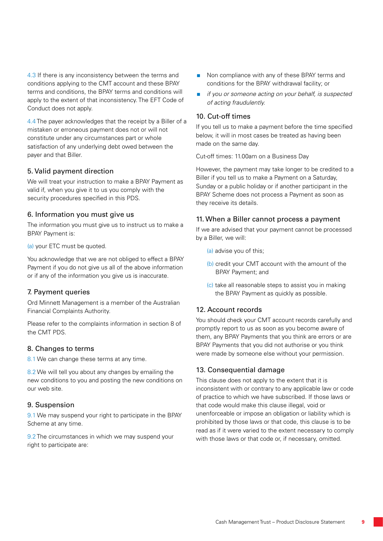4.3 If there is any inconsistency between the terms and conditions applying to the CMT account and these BPAY terms and conditions, the BPAY terms and conditions will apply to the extent of that inconsistency. The EFT Code of Conduct does not apply.

4.4 The payer acknowledges that the receipt by a Biller of a mistaken or erroneous payment does not or will not constitute under any circumstances part or whole satisfaction of any underlying debt owed between the payer and that Biller.

#### 5. Valid payment direction

We will treat your instruction to make a BPAY Payment as valid if, when you give it to us you comply with the security procedures specified in this PDS.

#### 6. Information you must give us

The information you must give us to instruct us to make a BPAY Payment is:

(a) your ETC must be quoted.

You acknowledge that we are not obliged to effect a BPAY Payment if you do not give us all of the above information or if any of the information you give us is inaccurate.

#### 7. Payment queries

Ord Minnett Management is a member of the Australian Financial Complaints Authority.

Please refer to the complaints information in section 8 of the CMT PDS.

#### 8. Changes to terms

8.1 We can change these terms at any time.

8.2 We will tell you about any changes by emailing the new conditions to you and posting the new conditions on our web site.

#### 9. Suspension

9.1 We may suspend your right to participate in the BPAY Scheme at any time.

9.2 The circumstances in which we may suspend your right to participate are:

- Non compliance with any of these BPAY terms and conditions for the BPAY withdrawal facility; or
- *if you or someone acting on your behalf, is suspected of acting fraudulently.*

#### 10. Cut-off times

If you tell us to make a payment before the time specified below, it will in most cases be treated as having been made on the same day.

Cut-off times: 11.00am on a Business Day

However, the payment may take longer to be credited to a Biller if you tell us to make a Payment on a Saturday, Sunday or a public holiday or if another participant in the BPAY Scheme does not process a Payment as soon as they receive its details.

#### 11. When a Biller cannot process a payment

If we are advised that your payment cannot be processed by a Biller, we will:

- (a) advise you of this;
- (b) credit your CMT account with the amount of the BPAY Payment; and
- (c) take all reasonable steps to assist you in making the BPAY Payment as quickly as possible.

#### 12. Account records

You should check your CMT account records carefully and promptly report to us as soon as you become aware of them, any BPAY Payments that you think are errors or are BPAY Payments that you did not authorise or you think were made by someone else without your permission.

#### 13. Consequential damage

This clause does not apply to the extent that it is inconsistent with or contrary to any applicable law or code of practice to which we have subscribed. If those laws or that code would make this clause illegal, void or unenforceable or impose an obligation or liability which is prohibited by those laws or that code, this clause is to be read as if it were varied to the extent necessary to comply with those laws or that code or, if necessary, omitted.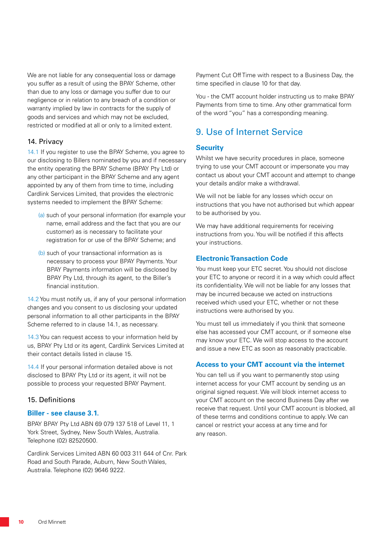We are not liable for any consequential loss or damage you suffer as a result of using the BPAY Scheme, other than due to any loss or damage you suffer due to our negligence or in relation to any breach of a condition or warranty implied by law in contracts for the supply of goods and services and which may not be excluded, restricted or modified at all or only to a limited extent.

#### 14. Privacy

14.1 If you register to use the BPAY Scheme, you agree to our disclosing to Billers nominated by you and if necessary the entity operating the BPAY Scheme (BPAY Pty Ltd) or any other participant in the BPAY Scheme and any agent appointed by any of them from time to time, including Cardlink Services Limited, that provides the electronic systems needed to implement the BPAY Scheme:

- (a) such of your personal information (for example your name, email address and the fact that you are our customer) as is necessary to facilitate your registration for or use of the BPAY Scheme; and
- (b) such of your transactional information as is necessary to process your BPAY Payments. Your BPAY Payments information will be disclosed by BPAY Pty Ltd, through its agent, to the Biller's financial institution.

14.2 You must notify us, if any of your personal information changes and you consent to us disclosing your updated personal information to all other participants in the BPAY Scheme referred to in clause 14.1, as necessary.

14.3 You can request access to your information held by us, BPAY Pty Ltd or its agent, Cardlink Services Limited at their contact details listed in clause 15.

14.4 If your personal information detailed above is not disclosed to BPAY Pty Ltd or its agent, it will not be possible to process your requested BPAY Payment.

#### 15. Definitions

#### **Biller - see clause 3.1.**

BPAY BPAY Pty Ltd ABN 69 079 137 518 of Level 11, 1 York Street, Sydney, New South Wales, Australia. Telephone (02) 82520500.

Cardlink Services Limited ABN 60 003 311 644 of Cnr. Park Road and South Parade, Auburn, New South Wales, Australia. Telephone (02) 9646 9222.

Payment Cut Off Time with respect to a Business Day, the time specified in clause 10 for that day.

You - the CMT account holder instructing us to make BPAY Payments from time to time. Any other grammatical form of the word "you" has a corresponding meaning.

# 9. Use of Internet Service

#### **Security**

Whilst we have security procedures in place, someone trying to use your CMT account or impersonate you may contact us about your CMT account and attempt to change your details and/or make a withdrawal.

We will not be liable for any losses which occur on instructions that you have not authorised but which appear to be authorised by you.

We may have additional requirements for receiving instructions from you. You will be notified if this affects your instructions.

#### **Electronic Transaction Code**

You must keep your ETC secret. You should not disclose your ETC to anyone or record it in a way which could affect its confidentiality. We will not be liable for any losses that may be incurred because we acted on instructions received which used your ETC, whether or not these instructions were authorised by you.

You must tell us immediately if you think that someone else has accessed your CMT account, or if someone else may know your ETC. We will stop access to the account and issue a new ETC as soon as reasonably practicable.

#### **Access to your CMT account via the internet**

You can tell us if you want to permanently stop using internet access for your CMT account by sending us an original signed request. We will block internet access to your CMT account on the second Business Day after we receive that request. Until your CMT account is blocked, all of these terms and conditions continue to apply. We can cancel or restrict your access at any time and for any reason.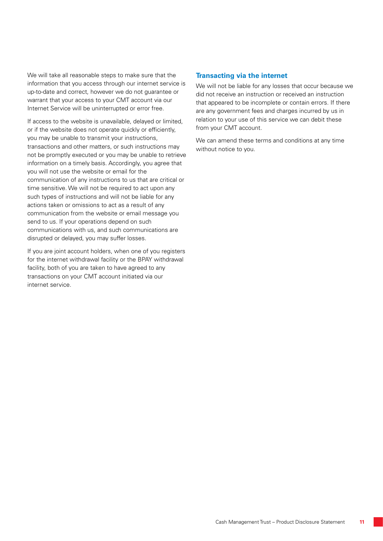We will take all reasonable steps to make sure that the information that you access through our internet service is up-to-date and correct, however we do not guarantee or warrant that your access to your CMT account via our Internet Service will be uninterrupted or error free.

If access to the website is unavailable, delayed or limited, or if the website does not operate quickly or efficiently, you may be unable to transmit your instructions, transactions and other matters, or such instructions may not be promptly executed or you may be unable to retrieve information on a timely basis. Accordingly, you agree that you will not use the website or email for the communication of any instructions to us that are critical or time sensitive. We will not be required to act upon any such types of instructions and will not be liable for any actions taken or omissions to act as a result of any communication from the website or email message you send to us. If your operations depend on such communications with us, and such communications are disrupted or delayed, you may suffer losses.

If you are joint account holders, when one of you registers for the internet withdrawal facility or the BPAY withdrawal facility, both of you are taken to have agreed to any transactions on your CMT account initiated via our internet service.

#### **Transacting via the internet**

We will not be liable for any losses that occur because we did not receive an instruction or received an instruction that appeared to be incomplete or contain errors. If there are any government fees and charges incurred by us in relation to your use of this service we can debit these from your CMT account.

We can amend these terms and conditions at any time without notice to you.